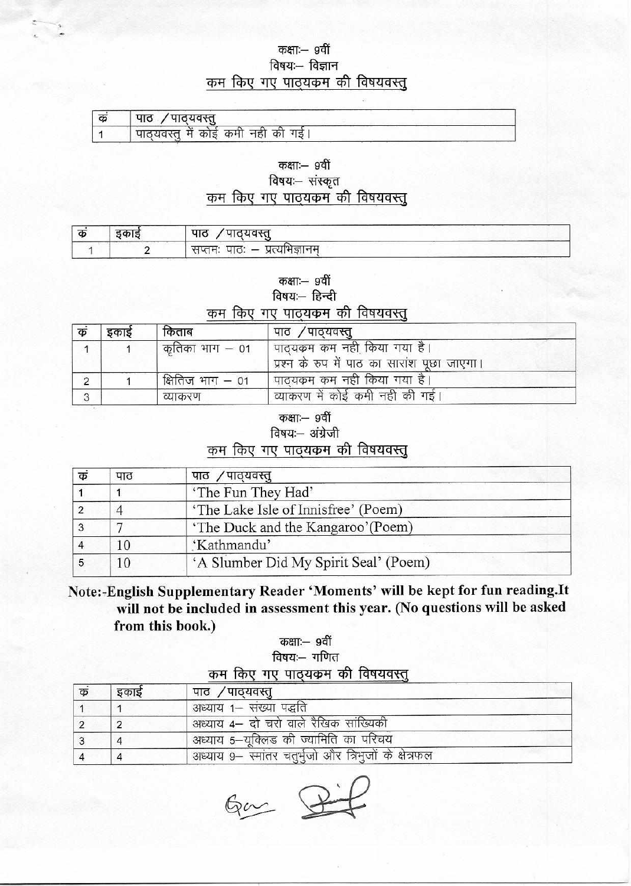#### कक्षाः— 9वीं विषयः- विज्ञान कम किए गए पाठ्यकम की विषयवस्तू

| cb. | <sup>∕</sup> ਘਾਨੋਹਰਦੌਤ<br>पाठ          |
|-----|----------------------------------------|
|     | ं पाठ्यवस्तु में कोई कमी नहीं की<br>गड |

# कक्षाः— 9वीं

### विषयः- संस्कृत कम किए गए पाठ्यकम की विषयवस्तू

| . क | मातम्न<br>पाठ                           |  |
|-----|-----------------------------------------|--|
|     | नानम<br>सप्तम<br>чю: —<br>प्रत्यानज्ञान |  |

#### कक्षाः- ९वीं

विषयः- हिन्दी

#### कम किए गए पाठ्यकम की विषयवस्तू

| क | इकाई | किताब             | पाठ ⁄पाठ्यवस्तु                                                              |
|---|------|-------------------|------------------------------------------------------------------------------|
|   |      | कृतिका भाग $-$ 01 | पाठ्यक्रम कम नही किया गया है।<br>प्रश्न के रुप में पाठ का सारांश पूछा जाएगा। |
|   |      | क्षितिज भाग – 01  | ' पाठ्यकम कम नही किया गया है।                                                |
|   |      | व्याकरण           | व्याकरण में कोई कमी नही की गई।                                               |

कक्षाः— 9वीं

विषयः- अंग्रेजी

#### कम किए गए पाठ्यकम की विषयवस्तू

| क्रं | पाठ | पाठ /पाठ्यवस्तु                       |  |
|------|-----|---------------------------------------|--|
|      |     | 'The Fun They Had'                    |  |
|      |     | 'The Lake Isle of Innisfree' (Poem)   |  |
|      |     | 'The Duck and the Kangaroo'(Poem)     |  |
|      |     | 'Kathmandu'                           |  |
|      |     | 'A Slumber Did My Spirit Seal' (Poem) |  |

## Note:-English Supplementary Reader 'Moments' will be kept for fun reading.It will not be included in assessment this year. (No questions will be asked from this book.)

#### कक्षाः— 9वीं विषयः- गणित कम किए गए पाठयकम की विषयवस्त

| कं | इकाई | पाठ ⁄पाठ्यवस्तू                                       |
|----|------|-------------------------------------------------------|
|    |      | अध्याय १– संख्या पद्धति                               |
|    |      | अध्याय 4– दो चरो वाले रैखिक सांख्यिकी                 |
|    | 4    | अध्याय 5-यूक्लिड की ज्यामिति का परिचय                 |
|    | 4    | अध्याय 9- स्मांतर चतुर्भुजो और त्रिभुजों के क्षेत्रफल |

 $64 - 2$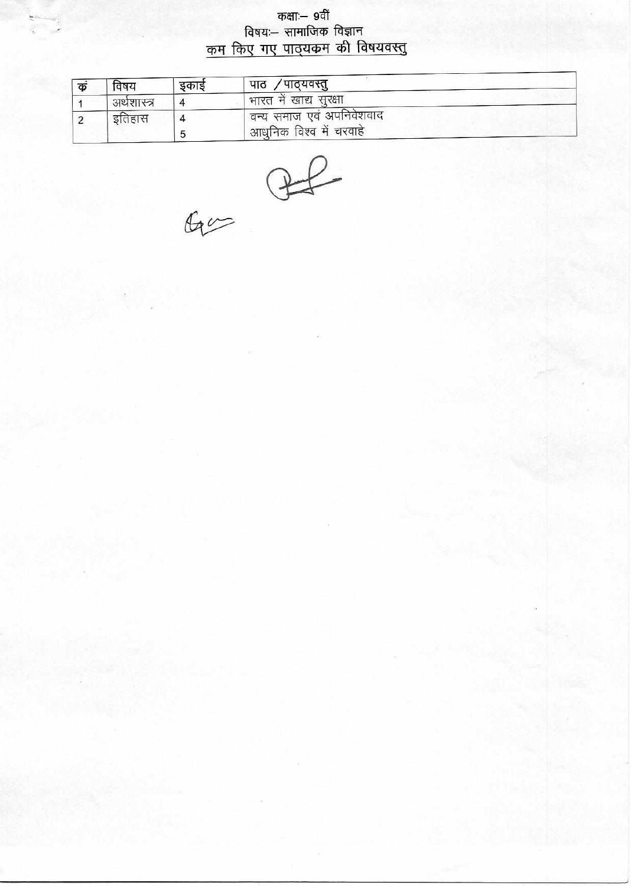कक्षाः– ९वीं विषयः— सामाजिक विज्ञान कम किए गए पाठ्यकम की विषयवस्तु

| क | विषय        | इकाइ | / पाठ्यवस्तु<br>पाठ                                                           |
|---|-------------|------|-------------------------------------------------------------------------------|
|   | अर्थशास्त्र |      | ' भारत मे खाद्य सुरक्षा                                                       |
|   | इतिहास      |      | <sup>।</sup> वन्य समाज एवं अपनिवेशवाद<br><sup>।</sup> आधुनिक विश्व में चरवाहे |

 $60 - 22$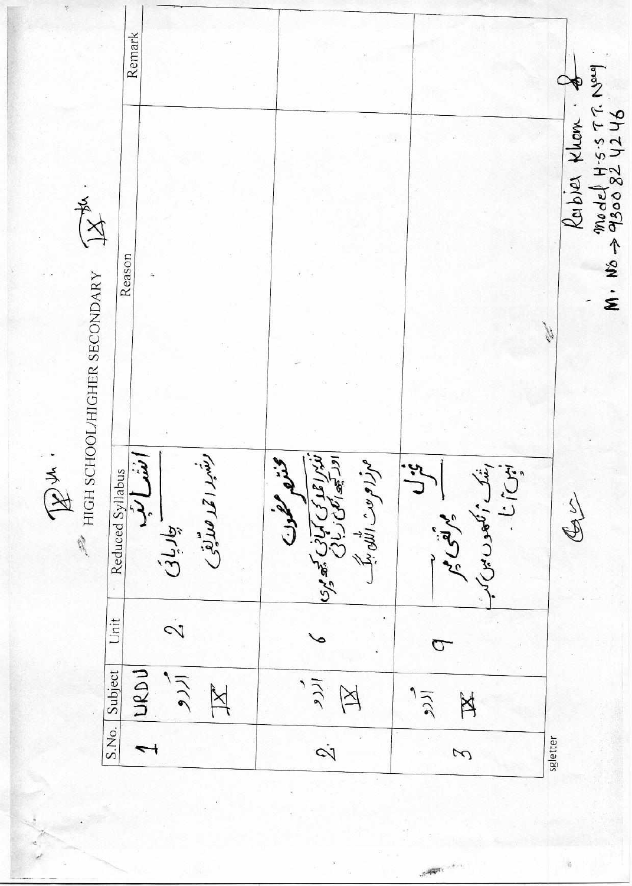Remark M. No -> 9300 82 4246 Rabier Khom. 一个人 Reason  $\mathcal{P}$  HIGH SCHOOL/HIGHER SECONDARY **Controller** Ex : رىفىيد ا قىد ھىتەيقى فاپرا عملہ کی کمپانی کچھ پری<br>اور کچھ کمپی ربائی اشک امی مودن میرا<br>است است است که برای میران<br>است است است است که برای میران مہزام مٹ اللہ ببک تعال Reduced Syllabus  $\sum_{i}$ - مرتقى م الطحولت  $\frac{1}{2}$ - چارپانی  $\dot{\mathcal{C}}$ Unit  $\sigma$ URDU الردو S.No. Subject الرو  $\mathbb{X}$  $\cancel{\cong}$ الزرو X  $\dot{\mathcal{S}}$ sgletter  $\overline{\phantom{0}}$ 3